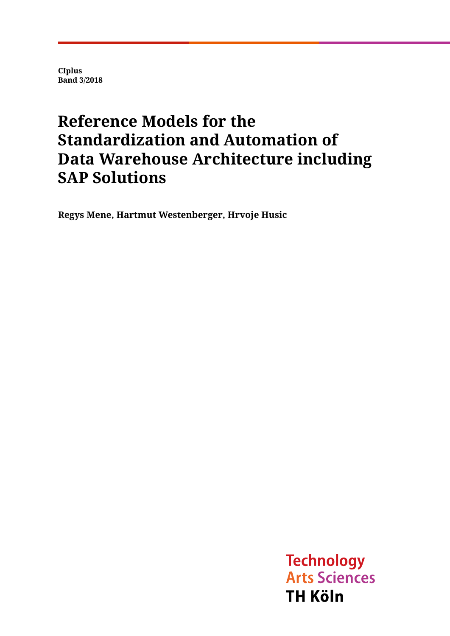**CIplus Band 3/2018**

## **Reference Models for the Standardization and Automation of Data Warehouse Architecture including SAP Solutions**

**Regys Mene, Hartmut Westenberger, Hrvoje Husic**

**Technology Arts Sciences TH Köln**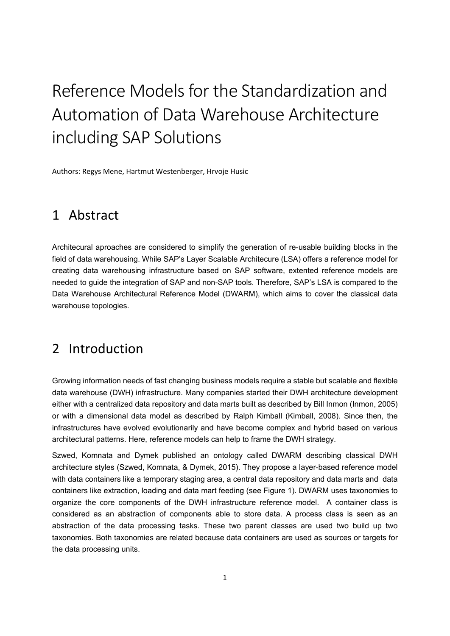# Reference Models for the Standardization and Automation of Data Warehouse Architecture including SAP Solutions

Authors: Regys Mene, Hartmut Westenberger, Hrvoje Husic

## 1 Abstract

Architecural aproaches are considered to simplify the generation of re-usable building blocks in the field of data warehousing. While SAP's Layer Scalable Architecure (LSA) offers a reference model for creating data warehousing infrastructure based on SAP software, extented reference models are needed to guide the integration of SAP and non-SAP tools. Therefore, SAP's LSA is compared to the Data Warehouse Architectural Reference Model (DWARM), which aims to cover the classical data warehouse topologies.

## 2 Introduction

Growing information needs of fast changing business models require a stable but scalable and flexible data warehouse (DWH) infrastructure. Many companies started their DWH architecture development either with a centralized data repository and data marts built as described by Bill Inmon (Inmon, 2005) or with a dimensional data model as described by Ralph Kimball (Kimball, 2008). Since then, the infrastructures have evolved evolutionarily and have become complex and hybrid based on various architectural patterns. Here, reference models can help to frame the DWH strategy.

Szwed, Komnata and Dymek published an ontology called DWARM describing classical DWH architecture styles (Szwed, Komnata, & Dymek, 2015). They propose a layer-based reference model with data containers like a temporary staging area, a central data repository and data marts and data containers like extraction, loading and data mart feeding (see Figure 1). DWARM uses taxonomies to organize the core components of the DWH infrastructure reference model. A container class is considered as an abstraction of components able to store data. A process class is seen as an abstraction of the data processing tasks. These two parent classes are used two build up two taxonomies. Both taxonomies are related because data containers are used as sources or targets for the data processing units.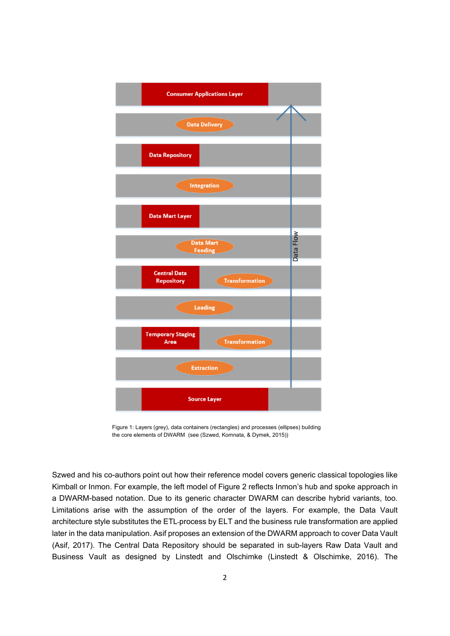

Figure 1: Layers (grey), data containers (rectangles) and processes (ellipses) building the core elements of DWARM (see (Szwed, Komnata, & Dymek, 2015))

Szwed and his co-authors point out how their reference model covers generic classical topologies like Kimball or Inmon. For example, the left model of Figure 2 reflects Inmon's hub and spoke approach in a DWARM-based notation. Due to its generic character DWARM can describe hybrid variants, too. Limitations arise with the assumption of the order of the layers. For example, the Data Vault architecture style substitutes the ETL process by ELT and the business rule transformation are applied later in the data manipulation. Asif proposes an extension of the DWARM approach to cover Data Vault (Asif, 2017). The Central Data Repository should be separated in sub-layers Raw Data Vault and Business Vault as designed by Linstedt and Olschimke (Linstedt & Olschimke, 2016). The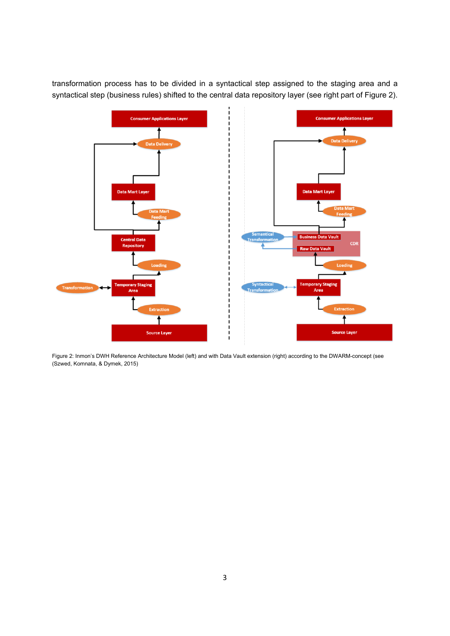transformation process has to be divided in a syntactical step assigned to the staging area and a syntactical step (business rules) shifted to the central data repository layer (see right part of Figure 2).



Figure 2: Inmon's DWH Reference Architecture Model (left) and with Data Vault extension (right) according to the DWARM-concept (see (Szwed, Komnata, & Dymek, 2015)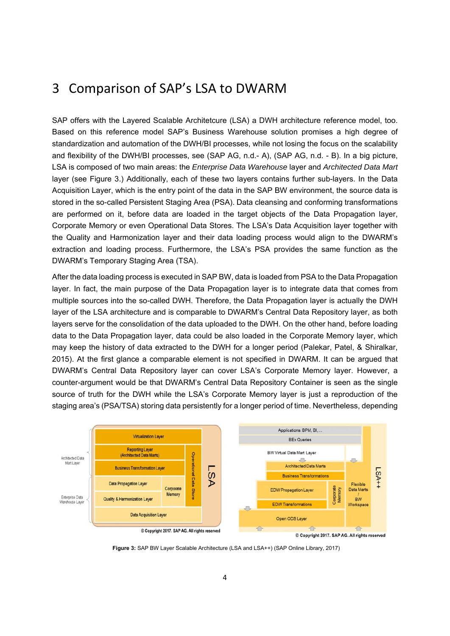#### 3 Comparison of SAP's LSA to DWARM

SAP offers with the Layered Scalable Architetcure (LSA) a DWH architecture reference model, too. Based on this reference model SAP's Business Warehouse solution promises a high degree of standardization and automation of the DWH/BI processes, while not losing the focus on the scalability and flexibility of the DWH/BI processes, see (SAP AG, n.d.- A), (SAP AG, n.d. - B). In a big picture, LSA is composed of two main areas: the *Enterprise Data Warehouse* layer and *Architected Data Mart* layer (see Figure 3.) Additionally, each of these two layers contains further sub-layers. In the Data Acquisition Layer, which is the entry point of the data in the SAP BW environment, the source data is stored in the so-called Persistent Staging Area (PSA). Data cleansing and conforming transformations are performed on it, before data are loaded in the target objects of the Data Propagation layer, Corporate Memory or even Operational Data Stores. The LSA's Data Acquisition layer together with the Quality and Harmonization layer and their data loading process would align to the DWARM's extraction and loading process. Furthermore, the LSA's PSA provides the same function as the DWARM's Temporary Staging Area (TSA).

After the data loading process is executed in SAP BW, data is loaded from PSA to the Data Propagation layer. In fact, the main purpose of the Data Propagation layer is to integrate data that comes from multiple sources into the so-called DWH. Therefore, the Data Propagation layer is actually the DWH layer of the LSA architecture and is comparable to DWARM's Central Data Repository layer, as both layers serve for the consolidation of the data uploaded to the DWH. On the other hand, before loading data to the Data Propagation layer, data could be also loaded in the Corporate Memory layer, which may keep the history of data extracted to the DWH for a longer period (Palekar, Patel, & Shiralkar, 2015). At the first glance a comparable element is not specified in DWARM. It can be argued that DWARM's Central Data Repository layer can cover LSA's Corporate Memory layer. However, a counter-argument would be that DWARM's Central Data Repository Container is seen as the single source of truth for the DWH while the LSA's Corporate Memory layer is just a reproduction of the staging area's (PSA/TSA) storing data persistently for a longer period of time. Nevertheless, depending



**Figure 3:** SAP BW Layer Scalable Architecture (LSA and LSA++) (SAP Online Library, 2017)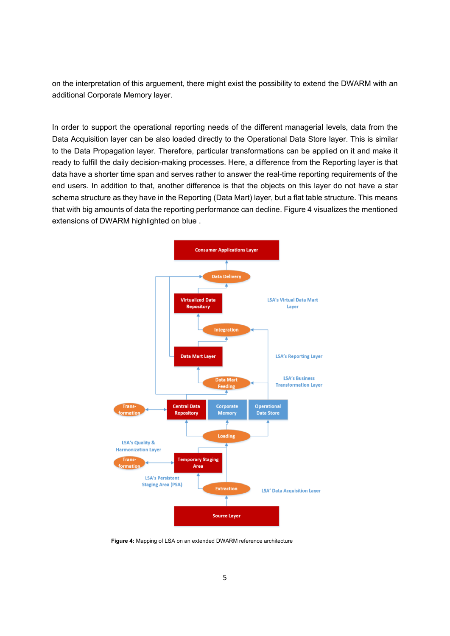on the interpretation of this arguement, there might exist the possibility to extend the DWARM with an additional Corporate Memory layer.

In order to support the operational reporting needs of the different managerial levels, data from the Data Acquisition layer can be also loaded directly to the Operational Data Store layer. This is similar to the Data Propagation layer. Therefore, particular transformations can be applied on it and make it ready to fulfill the daily decision-making processes. Here, a difference from the Reporting layer is that data have a shorter time span and serves rather to answer the real-time reporting requirements of the end users. In addition to that, another difference is that the objects on this layer do not have a star schema structure as they have in the Reporting (Data Mart) layer, but a flat table structure. This means that with big amounts of data the reporting performance can decline. Figure 4 visualizes the mentioned extensions of DWARM highlighted on blue .



**Figure 4:** Mapping of LSA on an extended DWARM reference architecture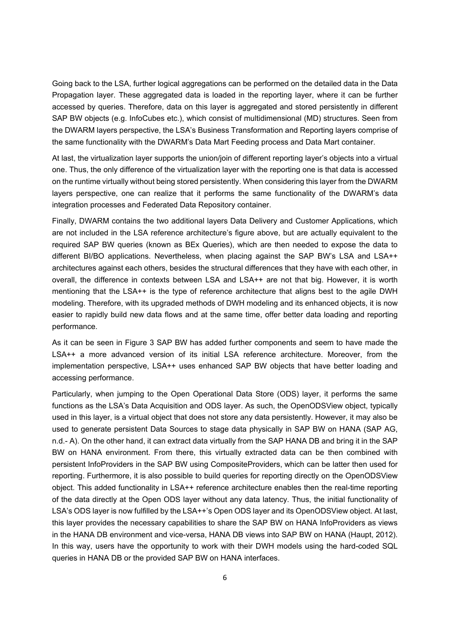Going back to the LSA, further logical aggregations can be performed on the detailed data in the Data Propagation layer. These aggregated data is loaded in the reporting layer, where it can be further accessed by queries. Therefore, data on this layer is aggregated and stored persistently in different SAP BW objects (e.g. InfoCubes etc.), which consist of multidimensional (MD) structures. Seen from the DWARM layers perspective, the LSA's Business Transformation and Reporting layers comprise of the same functionality with the DWARM's Data Mart Feeding process and Data Mart container.

At last, the virtualization layer supports the union/join of different reporting layer's objects into a virtual one. Thus, the only difference of the virtualization layer with the reporting one is that data is accessed on the runtime virtually without being stored persistently. When considering this layer from the DWARM layers perspective, one can realize that it performs the same functionality of the DWARM's data integration processes and Federated Data Repository container.

Finally, DWARM contains the two additional layers Data Delivery and Customer Applications, which are not included in the LSA reference architecture's figure above, but are actually equivalent to the required SAP BW queries (known as BEx Queries), which are then needed to expose the data to different BI/BO applications. Nevertheless, when placing against the SAP BW's LSA and LSA++ architectures against each others, besides the structural differences that they have with each other, in overall, the difference in contexts between LSA and LSA++ are not that big. However, it is worth mentioning that the LSA++ is the type of reference architecture that aligns best to the agile DWH modeling. Therefore, with its upgraded methods of DWH modeling and its enhanced objects, it is now easier to rapidly build new data flows and at the same time, offer better data loading and reporting performance.

As it can be seen in Figure 3 SAP BW has added further components and seem to have made the LSA++ a more advanced version of its initial LSA reference architecture. Moreover, from the implementation perspective, LSA++ uses enhanced SAP BW objects that have better loading and accessing performance.

Particularly, when jumping to the Open Operational Data Store (ODS) layer, it performs the same functions as the LSA's Data Acquisition and ODS layer. As such, the OpenODSView object, typically used in this layer, is a virtual object that does not store any data persistently. However, it may also be used to generate persistent Data Sources to stage data physically in SAP BW on HANA (SAP AG, n.d.- A). On the other hand, it can extract data virtually from the SAP HANA DB and bring it in the SAP BW on HANA environment. From there, this virtually extracted data can be then combined with persistent InfoProviders in the SAP BW using CompositeProviders, which can be latter then used for reporting. Furthermore, it is also possible to build queries for reporting directly on the OpenODSView object. This added functionality in LSA++ reference architecture enables then the real-time reporting of the data directly at the Open ODS layer without any data latency. Thus, the initial functionality of LSA's ODS layer is now fulfilled by the LSA++'s Open ODS layer and its OpenODSView object. At last, this layer provides the necessary capabilities to share the SAP BW on HANA InfoProviders as views in the HANA DB environment and vice-versa, HANA DB views into SAP BW on HANA (Haupt, 2012). In this way, users have the opportunity to work with their DWH models using the hard-coded SQL queries in HANA DB or the provided SAP BW on HANA interfaces.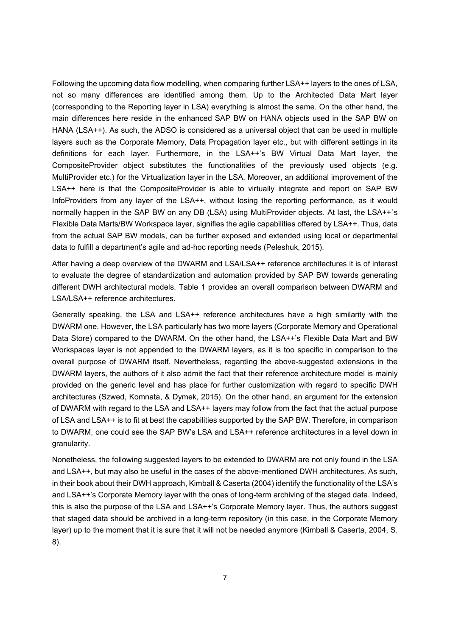Following the upcoming data flow modelling, when comparing further LSA++ layers to the ones of LSA, not so many differences are identified among them. Up to the Architected Data Mart layer (corresponding to the Reporting layer in LSA) everything is almost the same. On the other hand, the main differences here reside in the enhanced SAP BW on HANA objects used in the SAP BW on HANA (LSA++). As such, the ADSO is considered as a universal object that can be used in multiple layers such as the Corporate Memory, Data Propagation layer etc., but with different settings in its definitions for each layer. Furthermore, in the LSA++'s BW Virtual Data Mart layer, the CompositeProvider object substitutes the functionalities of the previously used objects (e.g. MultiProvider etc.) for the Virtualization layer in the LSA. Moreover, an additional improvement of the LSA++ here is that the CompositeProvider is able to virtually integrate and report on SAP BW InfoProviders from any layer of the LSA++, without losing the reporting performance, as it would normally happen in the SAP BW on any DB (LSA) using MultiProvider objects. At last, the LSA++'s Flexible Data Marts/BW Workspace layer, signifies the agile capabilities offered by LSA++. Thus, data from the actual SAP BW models, can be further exposed and extended using local or departmental data to fulfill a department's agile and ad-hoc reporting needs (Peleshuk, 2015).

After having a deep overview of the DWARM and LSA/LSA++ reference architectures it is of interest to evaluate the degree of standardization and automation provided by SAP BW towards generating different DWH architectural models. Table 1 provides an overall comparison between DWARM and LSA/LSA++ reference architectures.

Generally speaking, the LSA and LSA++ reference architectures have a high similarity with the DWARM one. However, the LSA particularly has two more layers (Corporate Memory and Operational Data Store) compared to the DWARM. On the other hand, the LSA++'s Flexible Data Mart and BW Workspaces layer is not appended to the DWARM layers, as it is too specific in comparison to the overall purpose of DWARM itself. Nevertheless, regarding the above-suggested extensions in the DWARM layers, the authors of it also admit the fact that their reference architecture model is mainly provided on the generic level and has place for further customization with regard to specific DWH architectures (Szwed, Komnata, & Dymek, 2015). On the other hand, an argument for the extension of DWARM with regard to the LSA and LSA++ layers may follow from the fact that the actual purpose of LSA and LSA++ is to fit at best the capabilities supported by the SAP BW. Therefore, in comparison to DWARM, one could see the SAP BW's LSA and LSA++ reference architectures in a level down in granularity.

Nonetheless, the following suggested layers to be extended to DWARM are not only found in the LSA and LSA++, but may also be useful in the cases of the above-mentioned DWH architectures. As such, in their book about their DWH approach, Kimball & Caserta (2004) identify the functionality of the LSA's and LSA++'s Corporate Memory layer with the ones of long-term archiving of the staged data. Indeed, this is also the purpose of the LSA and LSA++'s Corporate Memory layer. Thus, the authors suggest that staged data should be archived in a long-term repository (in this case, in the Corporate Memory layer) up to the moment that it is sure that it will not be needed anymore (Kimball & Caserta, 2004, S. 8).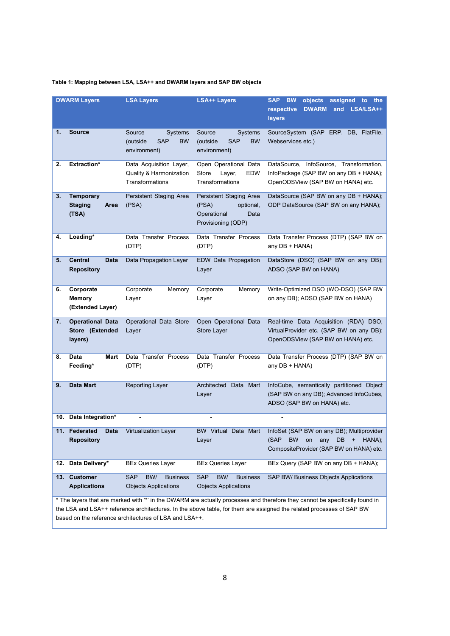#### **Table 1: Mapping between LSA, LSA++ and DWARM layers and SAP BW objects**

| <b>DWARM Layers</b>                                                                                                                                                                                                                                                                                            |                                                       | <b>LSA Layers</b>                                                        | <b>LSA++ Layers</b>                                                                        | objects<br><b>SAP</b><br><b>BW</b><br>assigned<br>$\mathsf{to}$<br>the<br>respective<br><b>DWARM</b><br>LSA/LSA++<br>and<br>layers |  |  |  |
|----------------------------------------------------------------------------------------------------------------------------------------------------------------------------------------------------------------------------------------------------------------------------------------------------------------|-------------------------------------------------------|--------------------------------------------------------------------------|--------------------------------------------------------------------------------------------|------------------------------------------------------------------------------------------------------------------------------------|--|--|--|
| 1.                                                                                                                                                                                                                                                                                                             | <b>Source</b>                                         | Source<br>Systems<br>(outside<br><b>SAP</b><br><b>BW</b><br>environment) | Source<br><b>Systems</b><br>(outside<br><b>SAP</b><br>BW<br>environment)                   | SourceSystem (SAP<br>ERP, DB, FlatFile,<br>Webservices etc.)                                                                       |  |  |  |
| 2.                                                                                                                                                                                                                                                                                                             | <b>Extraction*</b>                                    | Data Acquisition Layer,<br>Quality & Harmonization<br>Transformations    | Open Operational Data<br><b>EDW</b><br>Store<br>Layer,<br>Transformations                  | DataSource, InfoSource, Transformation,<br>InfoPackage (SAP BW on any DB + HANA);<br>OpenODSView (SAP BW on HANA) etc.             |  |  |  |
| 3.                                                                                                                                                                                                                                                                                                             | <b>Temporary</b><br><b>Staging</b><br>Area<br>(TSA)   | Persistent Staging Area<br>(PSA)                                         | Persistent Staging Area<br>(PSA)<br>optional,<br>Operational<br>Data<br>Provisioning (ODP) | DataSource (SAP BW on any DB + HANA);<br>ODP DataSource (SAP BW on any HANA);                                                      |  |  |  |
| 4.                                                                                                                                                                                                                                                                                                             | Loading*                                              | Data Transfer Process<br>(DTP)                                           | Data Transfer Process<br>(DTP)                                                             | Data Transfer Process (DTP) (SAP BW on<br>any DB + HANA)                                                                           |  |  |  |
| 5.                                                                                                                                                                                                                                                                                                             | <b>Central</b><br><b>Data</b><br><b>Repository</b>    | Data Propagation Layer                                                   | <b>EDW Data Propagation</b><br>Layer                                                       | DataStore (DSO) (SAP BW on any DB);<br>ADSO (SAP BW on HANA)                                                                       |  |  |  |
| 6.                                                                                                                                                                                                                                                                                                             | Corporate<br><b>Memory</b><br>(Extended Layer)        | Corporate<br>Memory<br>Layer                                             | Corporate<br>Memory<br>Layer                                                               | Write-Optimized DSO (WO-DSO) (SAP BW<br>on any DB); ADSO (SAP BW on HANA)                                                          |  |  |  |
| 7.                                                                                                                                                                                                                                                                                                             | <b>Operational Data</b><br>Store (Extended<br>layers) | Operational Data Store<br>Layer                                          | Open Operational Data<br>Store Layer                                                       | Real-time Data Acquisition (RDA) DSO,<br>VirtualProvider etc. (SAP BW on any DB);<br>OpenODSView (SAP BW on HANA) etc.             |  |  |  |
| 8.                                                                                                                                                                                                                                                                                                             | Data<br>Mart<br>Feeding*                              | Data Transfer Process<br>(DTP)                                           | Data Transfer Process<br>(DTP)                                                             | Data Transfer Process (DTP) (SAP BW on<br>any DB + HANA)                                                                           |  |  |  |
| 9.                                                                                                                                                                                                                                                                                                             | Data Mart                                             | <b>Reporting Layer</b>                                                   | Architected Data Mart<br>Layer                                                             | InfoCube, semantically partitioned Object<br>(SAP BW on any DB); Advanced InfoCubes,<br>ADSO (SAP BW on HANA) etc.                 |  |  |  |
|                                                                                                                                                                                                                                                                                                                | 10. Data Integration*                                 |                                                                          |                                                                                            |                                                                                                                                    |  |  |  |
| 11.                                                                                                                                                                                                                                                                                                            | Federated<br>Data<br><b>Repository</b>                | Virtualization Layer                                                     | <b>BW Virtual</b><br>Data Mart<br>Layer                                                    | InfoSet (SAP BW on any DB); Multiprovider<br>(SAP BW<br>on any $DB + HANA$ ;<br>CompositeProvider (SAP BW on HANA) etc.            |  |  |  |
| Data Delivery*<br>12.                                                                                                                                                                                                                                                                                          |                                                       | <b>BEx Queries Layer</b>                                                 | <b>BEx Queries Layer</b>                                                                   | BEx Query (SAP BW on any DB + HANA);                                                                                               |  |  |  |
| 13.                                                                                                                                                                                                                                                                                                            | <b>Customer</b><br><b>Applications</b>                | <b>SAP</b><br>BW/<br><b>Business</b><br><b>Objects Applications</b>      | <b>SAP</b><br>BW/<br><b>Business</b><br><b>Objects Applications</b>                        | SAP BW/ Business Objects Applications                                                                                              |  |  |  |
| * The layers that are marked with '*' in the DWARM are actually processes and therefore they cannot be specifically found in<br>the LSA and LSA++ reference architectures. In the above table, for them are assigned the related processes of SAP BW<br>based on the reference architectures of LSA and LSA++. |                                                       |                                                                          |                                                                                            |                                                                                                                                    |  |  |  |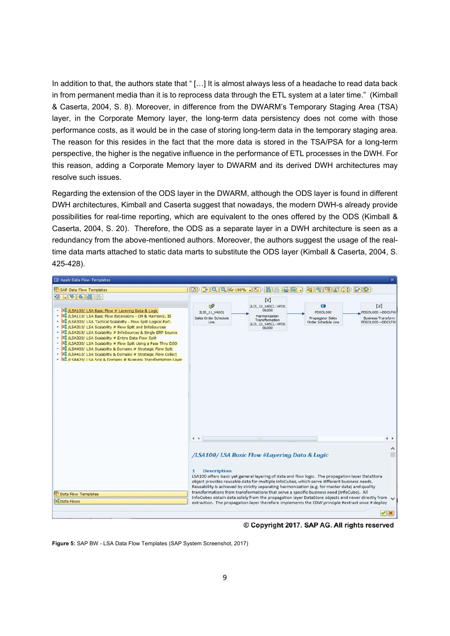In addition to that, the authors state that "[...] It is almost always less of a headache to read data back in from permanent media than it is to reprocess data through the ETL system at a later time." (Kimball & Caserta, 2004, S. 8). Moreover, in difference from the DWARM's Temporary Staging Area (TSA) layer, in the Corporate Memory layer, the long-term data persistency does not come with those performance costs, as it would be in the case of storing long-term data in the temporary staging area. The reason for this resides in the fact that the more data is stored in the TSA/PSA for a long-term perspective, the higher is the negative influence in the performance of ETL processes in the DWH. For this reason, adding a Corporate Memory layer to DWARM and its derived DWH architectures may resolve such issues.

Regarding the extension of the ODS layer in the DWARM, although the ODS layer is found in different DWH architectures, Kimball and Caserta suggest that nowadays, the modern DWH-s already provide possibilities for real-time reporting, which are equivalent to the ones offered by the ODS (Kimball & Caserta, 2004, S. 20). Therefore, the ODS as a separate layer in a DWH architecture is seen as a redundancy from the above-mentioned authors. Moreover, the authors suggest the usage of the realtime data marts attached to static data marts to substitute the ODS layer (Kimball & Caserta, 2004, S. 425-428).

| <b>ご Apply Data Flow Templates</b>                                                                                                                                                                                                                                                                                                                                                                                                                                                                                                                                                                                                                                                                                                         |                                                                                                                                                                                                                                                                                                                                                                                                                                                                                                                                                                                                                                                                                     |                                                                                                    |                                                          |                                                                                  |  |
|--------------------------------------------------------------------------------------------------------------------------------------------------------------------------------------------------------------------------------------------------------------------------------------------------------------------------------------------------------------------------------------------------------------------------------------------------------------------------------------------------------------------------------------------------------------------------------------------------------------------------------------------------------------------------------------------------------------------------------------------|-------------------------------------------------------------------------------------------------------------------------------------------------------------------------------------------------------------------------------------------------------------------------------------------------------------------------------------------------------------------------------------------------------------------------------------------------------------------------------------------------------------------------------------------------------------------------------------------------------------------------------------------------------------------------------------|----------------------------------------------------------------------------------------------------|----------------------------------------------------------|----------------------------------------------------------------------------------|--|
| SAP Data Flow Templates                                                                                                                                                                                                                                                                                                                                                                                                                                                                                                                                                                                                                                                                                                                    |                                                                                                                                                                                                                                                                                                                                                                                                                                                                                                                                                                                                                                                                                     |                                                                                                    |                                                          |                                                                                  |  |
| 6. 54 8 8 5<br>. 10 /LSA100/ LSA Basic Flow # Layering Data & Logic<br>. <b>But /LSA110/ LSA Basic Flow Extensions - CM &amp; Harmoniz. IS</b><br>. <b>But /LSA300/ LSA Tactical Scalability</b> - Flow Split Logical Part.<br>- 10 /LSA310/ LSA Scalability # Flow Split and InfoSources<br>- 10 /LSA315/ LSA Scalability # InfoSources & Single ERP Source<br>- <b>But /LSA320/ LSA Scalability # Entire Data Flow Split</b><br>. <b>60 /LSA330/ LSA Scalability # Flow Split Using a Pass Thru DSO</b><br>. <b>But /LSA400/ LSA Scalability &amp; Domains # Strategic Flow Split</b><br>. <b>19 /LSA410/ LSA Scalability &amp; Domains # Strategic Flow Collect</b><br>. 10 /LSA420/ LSA Scal & Domains # Business Transformation Layer | $\mathbb{R}^2$<br>2LIS_11_VASCL<br>Sales Order Schedule<br>Line                                                                                                                                                                                                                                                                                                                                                                                                                                                                                                                                                                                                                     | ⊠<br>2LIS_11_VASCL->PDS<br>OL000<br>Harmonization<br>Transformation<br>2LIS 11 VASCL->PDS<br>OL000 | Θ<br>PDSOL000<br>Propagator Sales<br>Order Schedule Line | $\bowtie$<br>PDSOL000->DDCLF00<br><b>Business Transform</b><br>PDSOL000->DDCLF0( |  |
|                                                                                                                                                                                                                                                                                                                                                                                                                                                                                                                                                                                                                                                                                                                                            | $\leftarrow$                                                                                                                                                                                                                                                                                                                                                                                                                                                                                                                                                                                                                                                                        | $\frac{1}{2}$                                                                                      |                                                          | $+$ $+$                                                                          |  |
| Data Flow Templates                                                                                                                                                                                                                                                                                                                                                                                                                                                                                                                                                                                                                                                                                                                        | /LSA100/ LSA Basic Flow #Layering Data & Logic<br><b>Description</b><br>1<br>LSA100 offers basic yet general layering of data and flow logic. The propagation layer DataStore<br>object provides reusable data for multiple InfoCubes, which serve different business needs.<br>Reusability is achieved by strictly separating harmonization (e.g. for master data) and quality<br>transformations from transformations that serve a specific business need (InfoCube). All<br>InfoCubes obtain data solely from the propagation layer DataStore objects and never directly from<br>extraction. The propagation layer therefore implements the EDW principle #extract once # deploy |                                                                                                    |                                                          |                                                                                  |  |
| <b>Data Flows</b>                                                                                                                                                                                                                                                                                                                                                                                                                                                                                                                                                                                                                                                                                                                          |                                                                                                                                                                                                                                                                                                                                                                                                                                                                                                                                                                                                                                                                                     |                                                                                                    |                                                          |                                                                                  |  |
|                                                                                                                                                                                                                                                                                                                                                                                                                                                                                                                                                                                                                                                                                                                                            |                                                                                                                                                                                                                                                                                                                                                                                                                                                                                                                                                                                                                                                                                     |                                                                                                    |                                                          | $  \mathbf{y}  $ $  \mathbf{x}  $                                                |  |

© Copyright 2017. SAP AG. All rights reserved

**Figure 5:** SAP BW - LSA Data Flow Templates (SAP System Screenshot, 2017)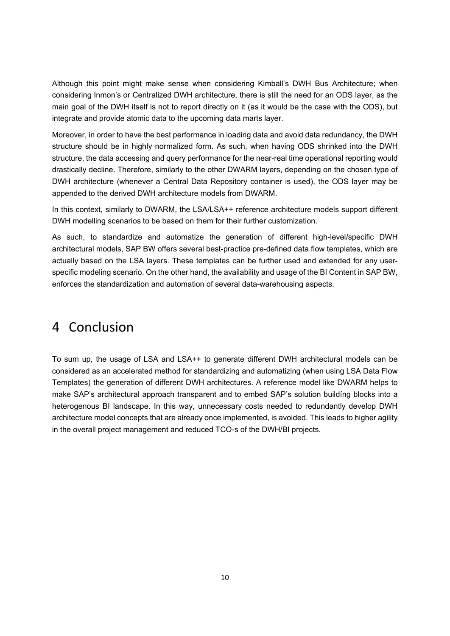Although this point might make sense when considering Kimball's DWH Bus Architecture; when considering Inmon's or Centralized DWH architecture, there is still the need for an ODS layer, as the main goal of the DWH itself is not to report directly on it (as it would be the case with the ODS), but integrate and provide atomic data to the upcoming data marts layer.

Moreover, in order to have the best performance in loading data and avoid data redundancy, the DWH structure should be in highly normalized form. As such, when having ODS shrinked into the DWH structure, the data accessing and query performance for the near-real time operational reporting would drastically decline. Therefore, similarly to the other DWARM layers, depending on the chosen type of DWH architecture (whenever a Central Data Repository container is used), the ODS layer may be appended to the derived DWH architecture models from DWARM.

In this context, similarly to DWARM, the LSA/LSA++ reference architecture models support different DWH modelling scenarios to be based on them for their further customization.

As such, to standardize and automatize the generation of different high-level/specific DWH architectural models, SAP BW offers several best-practice pre-defined data flow templates, which are actually based on the LSA layers. These templates can be further used and extended for any userspecific modeling scenario. On the other hand, the availability and usage of the BI Content in SAP BW, enforces the standardization and automation of several data-warehousing aspects.

#### 4 Conclusion

To sum up, the usage of LSA and LSA++ to generate different DWH architectural models can be considered as an accelerated method for standardizing and automatizing (when using LSA Data Flow Templates) the generation of different DWH architectures. A reference model like DWARM helps to make SAP's architectural approach transparent and to embed SAP's solution buildíng blocks into a heterogenous BI landscape. In this way, unnecessary costs needed to redundantly develop DWH architecture model concepts that are already once implemented, is avoided. This leads to higher agility in the overall project management and reduced TCO-s of the DWH/BI projects.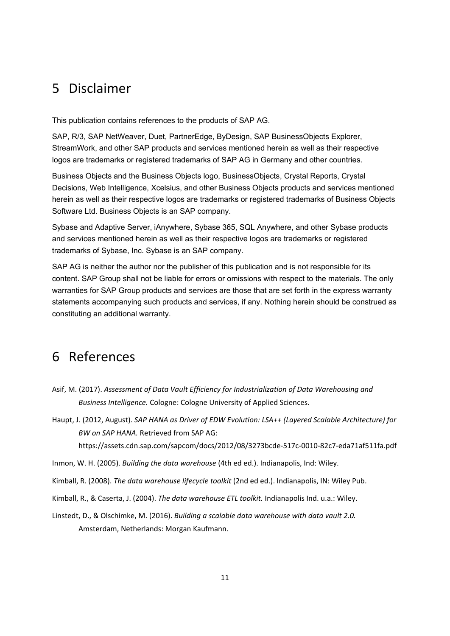### 5 Disclaimer

This publication contains references to the products of SAP AG.

SAP, R/3, SAP NetWeaver, Duet, PartnerEdge, ByDesign, SAP BusinessObjects Explorer, StreamWork, and other SAP products and services mentioned herein as well as their respective logos are trademarks or registered trademarks of SAP AG in Germany and other countries.

Business Objects and the Business Objects logo, BusinessObjects, Crystal Reports, Crystal Decisions, Web Intelligence, Xcelsius, and other Business Objects products and services mentioned herein as well as their respective logos are trademarks or registered trademarks of Business Objects Software Ltd. Business Objects is an SAP company.

Sybase and Adaptive Server, iAnywhere, Sybase 365, SQL Anywhere, and other Sybase products and services mentioned herein as well as their respective logos are trademarks or registered trademarks of Sybase, Inc. Sybase is an SAP company.

SAP AG is neither the author nor the publisher of this publication and is not responsible for its content. SAP Group shall not be liable for errors or omissions with respect to the materials. The only warranties for SAP Group products and services are those that are set forth in the express warranty statements accompanying such products and services, if any. Nothing herein should be construed as constituting an additional warranty.

## 6 References

- Asif, M. (2017). *Assessment of Data Vault Efficiency for Industrialization of Data Warehousing and Business Intelligence.* Cologne: Cologne University of Applied Sciences.
- Haupt, J. (2012, August). *SAP HANA as Driver of EDW Evolution: LSA++ (Layered Scalable Architecture) for BW on SAP HANA.* Retrieved from SAP AG:

https://assets.cdn.sap.com/sapcom/docs/2012/08/3273bcde‐517c‐0010‐82c7‐eda71af511fa.pdf

Inmon, W. H. (2005). *Building the data warehouse* (4th ed ed.). Indianapolis, Ind: Wiley.

- Kimball, R. (2008). *The data warehouse lifecycle toolkit* (2nd ed ed.). Indianapolis, IN: Wiley Pub.
- Kimball, R., & Caserta, J. (2004). *The data warehouse ETL toolkit.* Indianapolis Ind. u.a.: Wiley.
- Linstedt, D., & Olschimke, M. (2016). *Building a scalable data warehouse with data vault 2.0.* Amsterdam, Netherlands: Morgan Kaufmann.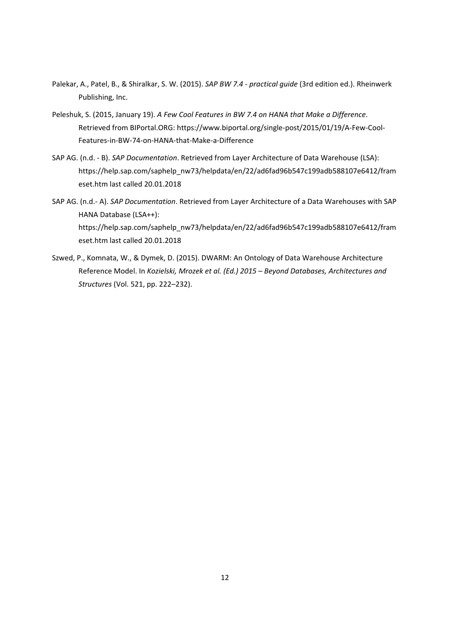- Palekar, A., Patel, B., & Shiralkar, S. W. (2015). *SAP BW 7.4 ‐ practical guide* (3rd edition ed.). Rheinwerk Publishing, Inc.
- Peleshuk, S. (2015, January 19). *A Few Cool Features in BW 7.4 on HANA that Make a Difference*. Retrieved from BIPortal.ORG: https://www.biportal.org/single‐post/2015/01/19/A‐Few‐Cool‐ Features‐in‐BW‐74‐on‐HANA‐that‐Make‐a‐Difference
- SAP AG. (n.d. ‐ B). *SAP Documentation*. Retrieved from Layer Architecture of Data Warehouse (LSA): https://help.sap.com/saphelp\_nw73/helpdata/en/22/ad6fad96b547c199adb588107e6412/fram eset.htm last called 20.01.2018
- SAP AG. (n.d.‐ A). *SAP Documentation*. Retrieved from Layer Architecture of a Data Warehouses with SAP HANA Database (LSA++): https://help.sap.com/saphelp\_nw73/helpdata/en/22/ad6fad96b547c199adb588107e6412/fram eset.htm last called 20.01.2018
- Szwed, P., Komnata, W., & Dymek, D. (2015). DWARM: An Ontology of Data Warehouse Architecture Reference Model. In *Kozielski, Mrozek et al. (Ed.) 2015 – Beyond Databases, Architectures and Structures* (Vol. 521, pp. 222–232).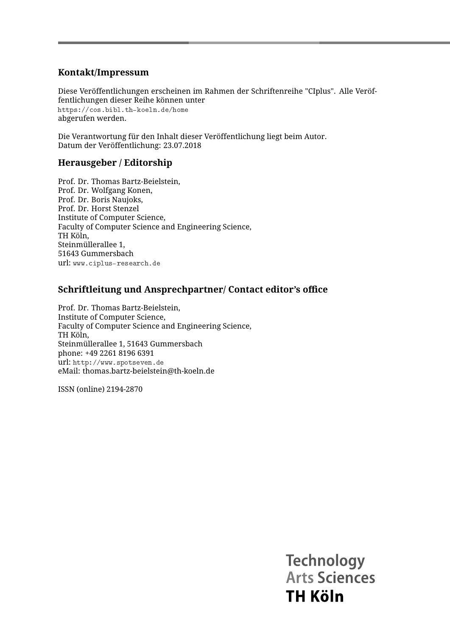#### **Kontakt/Impressum**

Diese Veröffentlichungen erscheinen im Rahmen der Schriftenreihe "CIplus". Alle Veröffentlichungen dieser Reihe können unter <https://cos.bibl.th-koeln.de/home> abgerufen werden.

Die Verantwortung für den Inhalt dieser Veröffentlichung liegt beim Autor. Datum der Veröffentlichung: 23.07.2018

#### **Herausgeber / Editorship**

Prof. Dr. Thomas Bartz-Beielstein, Prof. Dr. Wolfgang Konen, Prof. Dr. Boris Naujoks, Prof. Dr. Horst Stenzel Institute of Computer Science, Faculty of Computer Science and Engineering Science, TH Köln, Steinmüllerallee 1, 51643 Gummersbach url: <www.ciplus-research.de>

#### **Schriftleitung und Ansprechpartner/ Contact editor's office**

Prof. Dr. Thomas Bartz-Beielstein, Institute of Computer Science, Faculty of Computer Science and Engineering Science, TH Köln, Steinmüllerallee 1, 51643 Gummersbach phone: +49 2261 8196 6391 url: <http://www.spotseven.de> eMail: thomas.bartz-beielstein@th-koeln.de

ISSN (online) 2194-2870

**Technology Arts Sciences TH Köln**